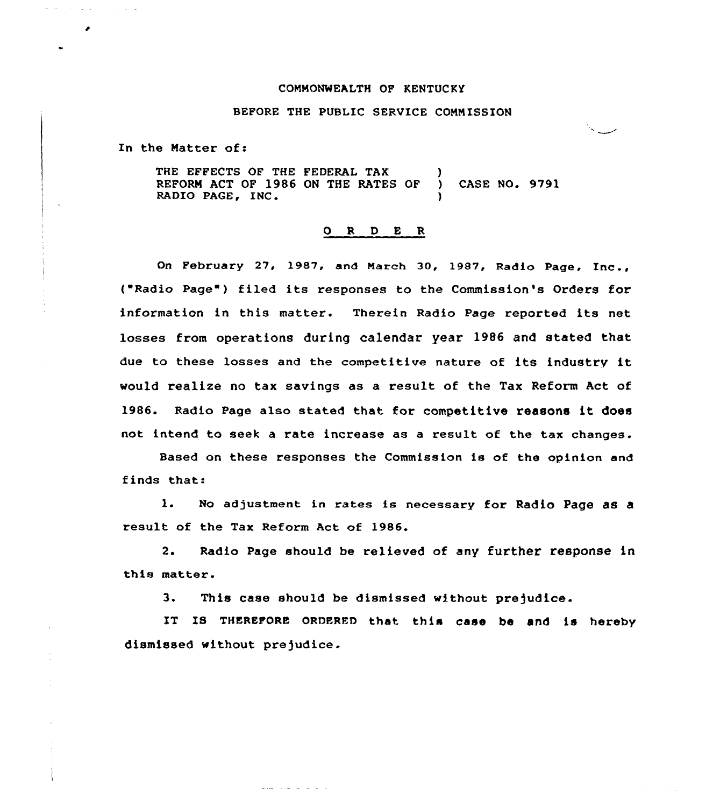## COMMONWEALTH OF KENTUCKY

## BEFORE THE PUBLIC SERVICE COMMISSION

In the Matter of:

 $\mathcal{A}=\mathcal{A}^{\dagger}$  .

an dan l

 $\sim 10^{-1}$   $\mu$ 

THE EFFECTS OF THE FEDERAL TAX (1)<br>REFORM ACT OF 1986 ON THE RATES OF REFORM ACT OF 1986 ON THE RATES OF ) CASE NO. 9791 RADIO PAGE, INC.

## 0 <sup>R</sup> <sup>D</sup> E R

On February 27, 1987, and March 30, 1987, Radio Page, Inc., ( Radio Page ) filed its responses to the Commission's Orders for information in this matter. Therein Radio Page reported its net losses from operations during calendar year 1986 and stated that due to these losses and the competitive nature of its industry it would realize no tax savings as a result of the Tax Reform Act of 1986. Radio Page also stated that for competitive reasons it does not intend to seek a rate increase as a result of the tax changes.

Based on these responses the Commission is of the opinion and finds that:

1. No adjustment in rates is necessary for Radio Page as <sup>a</sup> result of the Tax Reform Act of 1986.

2. Radio Page should be relieved of any further response in this matter.

3. This case should be dismissed without prejudice.

and the article of the

IT IS THEREFORE ORDERED that this case be and is hereby dismissed without prejudice.